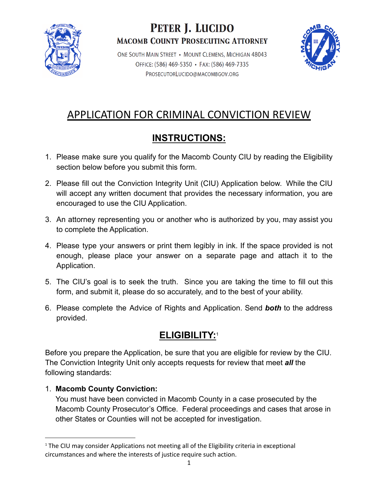

## PETER J. LUCIDO **MACOMB COUNTY PROSECUTING ATTORNEY**

ONE SOUTH MAIN STREET . MOUNT CLEMENS, MICHIGAN 48043 OFFICE: (586) 469-5350 • FAX: (586) 469-7335 PROSECUTORLUCIDO@MACOMBGOV.ORG



# APPLICATION FOR CRIMINAL CONVICTION REVIEW

### **INSTRUCTIONS:**

- 1. Please make sure you qualify for the Macomb County CIU by reading the Eligibility section below before you submit this form.
- 2. Please fill out the Conviction Integrity Unit (CIU) Application below. While the CIU will accept any written document that provides the necessary information, you are encouraged to use the CIU Application.
- 3. An attorney representing you or another who is authorized by you, may assist you to complete the Application.
- 4. Please type your answers or print them legibly in ink. If the space provided is not enough, please place your answer on a separate page and attach it to the Application.
- 5. The CIU's goal is to seek the truth. Since you are taking the time to fill out this form, and submit it, please do so accurately, and to the best of your ability.
- 6. Please complete the Advice of Rights and Application. Send *both* to the address provided.

### **ELIGIBILITY:**<sup>1</sup>

Before you prepare the Application, be sure that you are eligible for review by the CIU. The Conviction Integrity Unit only accepts requests for review that meet *all* the following standards:

### 1. **Macomb County Conviction:**

You must have been convicted in Macomb County in a case prosecuted by the Macomb County Prosecutor's Office. Federal proceedings and cases that arose in other States or Counties will not be accepted for investigation.

 $<sup>1</sup>$  The CIU may consider Applications not meeting all of the Eligibility criteria in exceptional</sup> circumstances and where the interests of justice require such action.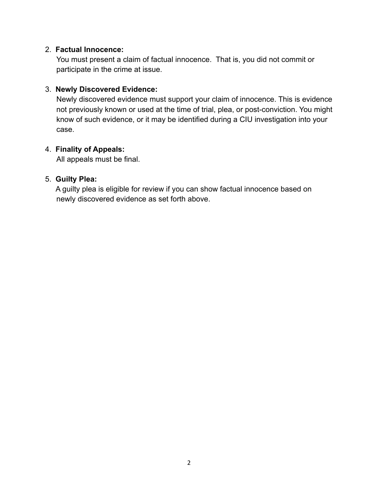#### 2. **Factual Innocence:**

You must present a claim of factual innocence. That is, you did not commit or participate in the crime at issue.

#### 3. **Newly Discovered Evidence:**

Newly discovered evidence must support your claim of innocence. This is evidence not previously known or used at the time of trial, plea, or post-conviction. You might know of such evidence, or it may be identified during a CIU investigation into your case.

#### 4. **Finality of Appeals:**

All appeals must be final.

#### 5. **Guilty Plea:**

A guilty plea is eligible for review if you can show factual innocence based on newly discovered evidence as set forth above.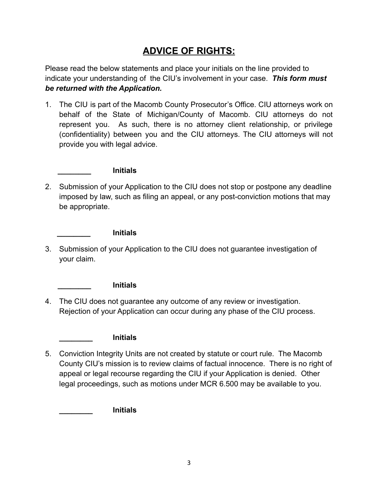### **ADVICE OF RIGHTS:**

Please read the below statements and place your initials on the line provided to indicate your understanding of the CIU's involvement in your case. *This form must be returned with the Application.*

1. The CIU is part of the Macomb County Prosecutor's Office. CIU attorneys work on behalf of the State of Michigan/County of Macomb. CIU attorneys do not represent you. As such, there is no attorney client relationship, or privilege (confidentiality) between you and the CIU attorneys. The CIU attorneys will not provide you with legal advice.

#### **\_\_\_\_\_\_\_\_ Initials**

2. Submission of your Application to the CIU does not stop or postpone any deadline imposed by law, such as filing an appeal, or any post-conviction motions that may be appropriate.

#### **\_\_\_\_\_\_\_\_ Initials**

3. Submission of your Application to the CIU does not guarantee investigation of your claim.

#### **\_\_\_\_\_\_\_\_ Initials**

4. The CIU does not guarantee any outcome of any review or investigation. Rejection of your Application can occur during any phase of the CIU process.

#### **\_\_\_\_\_\_\_\_ Initials**

5. Conviction Integrity Units are not created by statute or court rule. The Macomb County CIU's mission is to review claims of factual innocence. There is no right of appeal or legal recourse regarding the CIU if your Application is denied. Other legal proceedings, such as motions under MCR 6.500 may be available to you.

**\_\_\_\_\_\_\_\_ Initials**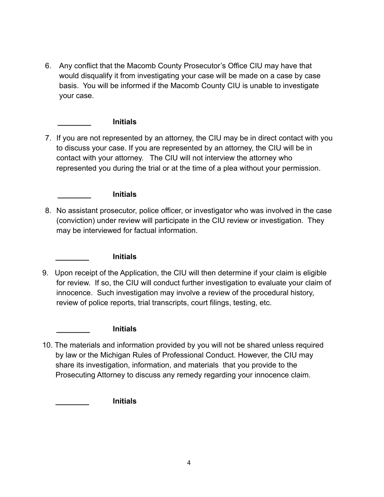6. Any conflict that the Macomb County Prosecutor's Office CIU may have that would disqualify it from investigating your case will be made on a case by case basis. You will be informed if the Macomb County CIU is unable to investigate your case.

#### **\_\_\_\_\_\_\_\_ Initials**

7. If you are not represented by an attorney, the CIU may be in direct contact with you to discuss your case. If you are represented by an attorney, the CIU will be in contact with your attorney. The CIU will not interview the attorney who represented you during the trial or at the time of a plea without your permission.

#### **\_\_\_\_\_\_\_\_ Initials**

8. No assistant prosecutor, police officer, or investigator who was involved in the case (conviction) under review will participate in the CIU review or investigation. They may be interviewed for factual information.

#### **\_\_\_\_\_\_\_\_ Initials**

9. Upon receipt of the Application, the CIU will then determine if your claim is eligible for review. If so, the CIU will conduct further investigation to evaluate your claim of innocence. Such investigation may involve a review of the procedural history, review of police reports, trial transcripts, court filings, testing, etc.

#### **\_\_\_\_\_\_\_\_ Initials**

10. The materials and information provided by you will not be shared unless required by law or the Michigan Rules of Professional Conduct. However, the CIU may share its investigation, information, and materials that you provide to the Prosecuting Attorney to discuss any remedy regarding your innocence claim.

#### **\_\_\_\_\_\_\_\_ Initials**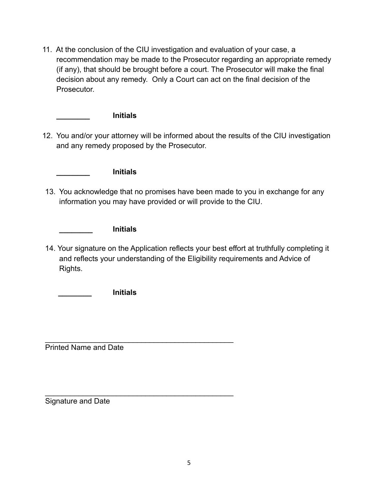11. At the conclusion of the CIU investigation and evaluation of your case, a recommendation may be made to the Prosecutor regarding an appropriate remedy (if any), that should be brought before a court. The Prosecutor will make the final decision about any remedy. Only a Court can act on the final decision of the Prosecutor.

**\_\_\_\_\_\_\_\_ Initials**

12. You and/or your attorney will be informed about the results of the CIU investigation and any remedy proposed by the Prosecutor.

**\_\_\_\_\_\_\_\_ Initials**

13. You acknowledge that no promises have been made to you in exchange for any information you may have provided or will provide to the CIU.

**\_\_\_\_\_\_\_\_ Initials**

14. Your signature on the Application reflects your best effort at truthfully completing it and reflects your understanding of the Eligibility requirements and Advice of Rights.

**\_\_\_\_\_\_\_\_ Initials**

\_\_\_\_\_\_\_\_\_\_\_\_\_\_\_\_\_\_\_\_\_\_\_\_\_\_\_\_\_\_\_\_\_\_\_\_\_\_\_\_\_\_\_\_\_ Printed Name and Date

\_\_\_\_\_\_\_\_\_\_\_\_\_\_\_\_\_\_\_\_\_\_\_\_\_\_\_\_\_\_\_\_\_\_\_\_\_\_\_\_\_\_\_\_\_ Signature and Date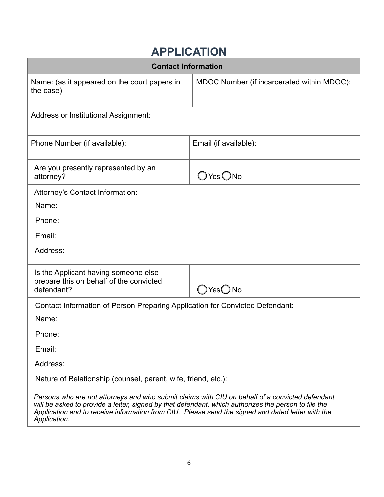# **APPLICATION**

| <b>Contact Information</b>                                                                                                                                                                                                                                                                                                   |                                            |  |  |
|------------------------------------------------------------------------------------------------------------------------------------------------------------------------------------------------------------------------------------------------------------------------------------------------------------------------------|--------------------------------------------|--|--|
| Name: (as it appeared on the court papers in<br>the case)                                                                                                                                                                                                                                                                    | MDOC Number (if incarcerated within MDOC): |  |  |
| <b>Address or Institutional Assignment:</b>                                                                                                                                                                                                                                                                                  |                                            |  |  |
| Phone Number (if available):                                                                                                                                                                                                                                                                                                 | Email (if available):                      |  |  |
| Are you presently represented by an<br>attorney?                                                                                                                                                                                                                                                                             | $O$ Yes $O$ No                             |  |  |
| Attorney's Contact Information:                                                                                                                                                                                                                                                                                              |                                            |  |  |
| Name:                                                                                                                                                                                                                                                                                                                        |                                            |  |  |
| Phone:                                                                                                                                                                                                                                                                                                                       |                                            |  |  |
| Email:                                                                                                                                                                                                                                                                                                                       |                                            |  |  |
| Address:                                                                                                                                                                                                                                                                                                                     |                                            |  |  |
| Is the Applicant having someone else<br>prepare this on behalf of the convicted<br>defendant?                                                                                                                                                                                                                                | $\bigcirc$ Yes $\bigcirc$ No               |  |  |
| Contact Information of Person Preparing Application for Convicted Defendant:                                                                                                                                                                                                                                                 |                                            |  |  |
| Name:                                                                                                                                                                                                                                                                                                                        |                                            |  |  |
| Phone:                                                                                                                                                                                                                                                                                                                       |                                            |  |  |
| Email:                                                                                                                                                                                                                                                                                                                       |                                            |  |  |
| Address:                                                                                                                                                                                                                                                                                                                     |                                            |  |  |
| Nature of Relationship (counsel, parent, wife, friend, etc.):                                                                                                                                                                                                                                                                |                                            |  |  |
| Persons who are not attorneys and who submit claims with CIU on behalf of a convicted defendant<br>will be asked to provide a letter, signed by that defendant, which authorizes the person to file the<br>Application and to receive information from CIU. Please send the signed and dated letter with the<br>Application. |                                            |  |  |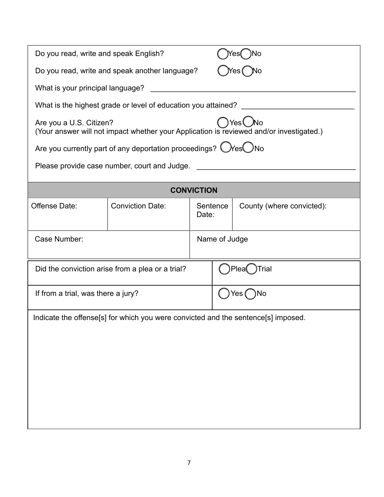|                                                                                                                           | Do you read, write and speak English?                                             |               |                  |                           |  |  |
|---------------------------------------------------------------------------------------------------------------------------|-----------------------------------------------------------------------------------|---------------|------------------|---------------------------|--|--|
|                                                                                                                           | Do you read, write and speak another language?                                    |               |                  |                           |  |  |
| What is your principal language?                                                                                          |                                                                                   |               |                  |                           |  |  |
| What is the highest grade or level of education you attained?                                                             |                                                                                   |               |                  |                           |  |  |
| Yes<br>Are you a U.S. Citizen?<br>(Your answer will not impact whether your Application is reviewed and/or investigated.) |                                                                                   |               |                  |                           |  |  |
| Are you currently part of any deportation proceedings? $\bigcirc$ Yes $\bigcirc$ No                                       |                                                                                   |               |                  |                           |  |  |
| Please provide case number, court and Judge.                                                                              |                                                                                   |               |                  |                           |  |  |
| <b>CONVICTION</b>                                                                                                         |                                                                                   |               |                  |                           |  |  |
| Offense Date:                                                                                                             | <b>Conviction Date:</b>                                                           | Date:         | Sentence         | County (where convicted): |  |  |
| Case Number:                                                                                                              |                                                                                   | Name of Judge |                  |                           |  |  |
| Did the conviction arise from a plea or a trial?                                                                          |                                                                                   |               | ≀Plea(<br>)Trial |                           |  |  |
| If from a trial, was there a jury?                                                                                        |                                                                                   |               | Yes (<br>⊂ )No   |                           |  |  |
|                                                                                                                           | Indicate the offense[s] for which you were convicted and the sentence[s] imposed. |               |                  |                           |  |  |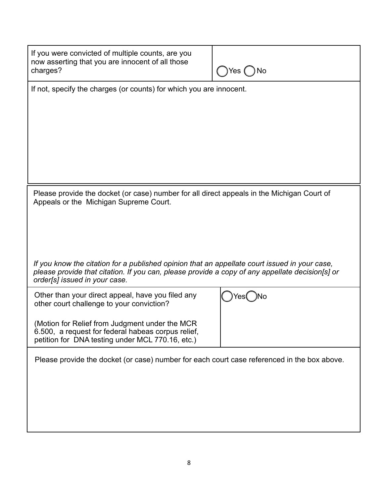| If you were convicted of multiple counts, are you<br>now asserting that you are innocent of all those<br>charges?                                                                                | Yes (<br>No |  |  |
|--------------------------------------------------------------------------------------------------------------------------------------------------------------------------------------------------|-------------|--|--|
| If not, specify the charges (or counts) for which you are innocent.                                                                                                                              |             |  |  |
|                                                                                                                                                                                                  |             |  |  |
|                                                                                                                                                                                                  |             |  |  |
|                                                                                                                                                                                                  |             |  |  |
|                                                                                                                                                                                                  |             |  |  |
|                                                                                                                                                                                                  |             |  |  |
|                                                                                                                                                                                                  |             |  |  |
|                                                                                                                                                                                                  |             |  |  |
|                                                                                                                                                                                                  |             |  |  |
|                                                                                                                                                                                                  |             |  |  |
| Please provide the docket (or case) number for all direct appeals in the Michigan Court of<br>Appeals or the Michigan Supreme Court.                                                             |             |  |  |
|                                                                                                                                                                                                  |             |  |  |
|                                                                                                                                                                                                  |             |  |  |
|                                                                                                                                                                                                  |             |  |  |
|                                                                                                                                                                                                  |             |  |  |
|                                                                                                                                                                                                  |             |  |  |
| If you know the citation for a published opinion that an appellate court issued in your case,<br>please provide that citation. If you can, please provide a copy of any appellate decision[s] or |             |  |  |
| order[s] issued in your case.                                                                                                                                                                    |             |  |  |
|                                                                                                                                                                                                  |             |  |  |
| Other than your direct appeal, have you filed any<br>other court challenge to your conviction?                                                                                                   |             |  |  |
|                                                                                                                                                                                                  |             |  |  |
| (Motion for Relief from Judgment under the MCR)                                                                                                                                                  |             |  |  |
| 6.500, a request for federal habeas corpus relief,                                                                                                                                               |             |  |  |
| petition for DNA testing under MCL 770.16, etc.)                                                                                                                                                 |             |  |  |
| Please provide the docket (or case) number for each court case referenced in the box above.                                                                                                      |             |  |  |
|                                                                                                                                                                                                  |             |  |  |
|                                                                                                                                                                                                  |             |  |  |
|                                                                                                                                                                                                  |             |  |  |
|                                                                                                                                                                                                  |             |  |  |
|                                                                                                                                                                                                  |             |  |  |
|                                                                                                                                                                                                  |             |  |  |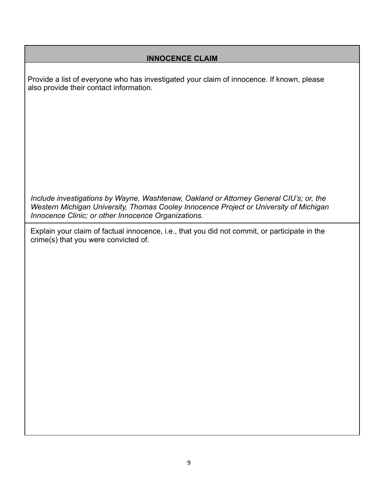#### **INNOCENCE CLAIM**

Provide a list of everyone who has investigated your claim of innocence. If known, please also provide their contact information.

*Include investigations by Wayne, Washtenaw, Oakland or Attorney General CIU's; or, the Western Michigan University, Thomas Cooley Innocence Project or University of Michigan Innocence Clinic; or other Innocence Organizations.*

Explain your claim of factual innocence, i.e., that you did not commit, or participate in the crime(s) that you were convicted of.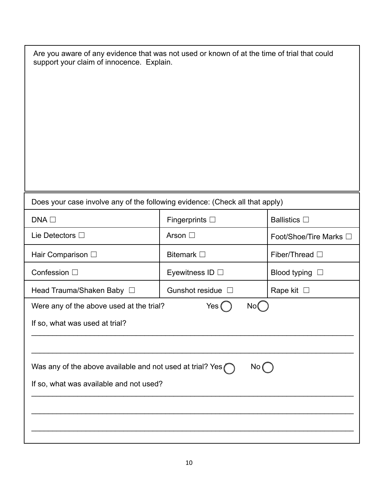| Are you aware of any evidence that was not used or known of at the time of trial that could<br>support your claim of innocence. Explain. |                        |                        |  |  |
|------------------------------------------------------------------------------------------------------------------------------------------|------------------------|------------------------|--|--|
| Does your case involve any of the following evidence: (Check all that apply)                                                             |                        |                        |  |  |
| DNA <sub>1</sub>                                                                                                                         | Fingerprints $\square$ | <b>Ballistics</b> □    |  |  |
| Lie Detectors $\square$                                                                                                                  | Arson □                | Foot/Shoe/Tire Marks □ |  |  |
| Hair Comparison $\square$                                                                                                                | Bitemark $\square$     | Fiber/Thread □         |  |  |
| Confession □                                                                                                                             | Eyewitness ID $\Box$   | Blood typing $\square$ |  |  |
| Head Trauma/Shaken Baby □                                                                                                                | Gunshot residue □      | Rape kit $\square$     |  |  |
| Were any of the above used at the trial?<br>Yes (<br>No(<br>If so, what was used at trial?                                               |                        |                        |  |  |
| Was any of the above available and not used at trial? Yes $\bigcap$<br>No<br>If so, what was available and not used?                     |                        |                        |  |  |
|                                                                                                                                          |                        |                        |  |  |